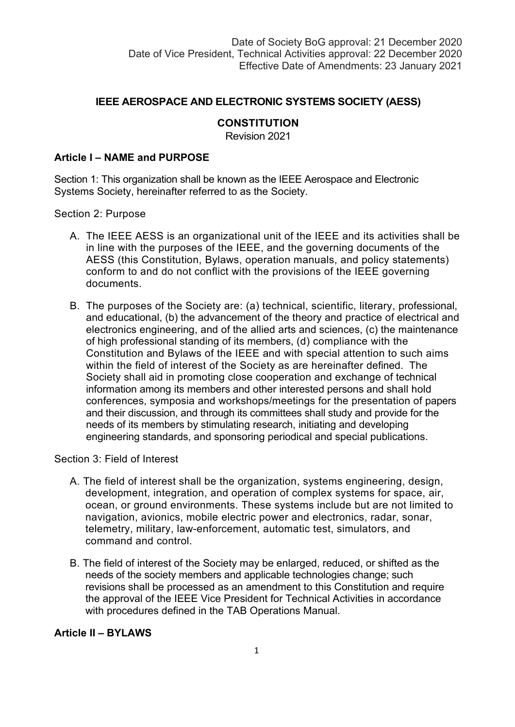### **IEEE AEROSPACE AND ELECTRONIC SYSTEMS SOCIETY (AESS)**

### **CONSTITUTION**

Revision 2021

#### **Article I – NAME and PURPOSE**

Section 1: This organization shall be known as the IEEE Aerospace and Electronic Systems Society, hereinafter referred to as the Society.

Section 2: Purpose

- A. The IEEE AESS is an organizational unit of the IEEE and its activities shall be in line with the purposes of the IEEE, and the governing documents of the AESS (this Constitution, Bylaws, operation manuals, and policy statements) conform to and do not conflict with the provisions of the IEEE governing documents.
- B. The purposes of the Society are: (a) technical, scientific, literary, professional, and educational, (b) the advancement of the theory and practice of electrical and electronics engineering, and of the allied arts and sciences, (c) the maintenance of high professional standing of its members, (d) compliance with the Constitution and Bylaws of the IEEE and with special attention to such aims within the field of interest of the Society as are hereinafter defined. The Society shall aid in promoting close cooperation and exchange of technical information among its members and other interested persons and shall hold conferences, symposia and workshops/meetings for the presentation of papers and their discussion, and through its committees shall study and provide for the needs of its members by stimulating research, initiating and developing engineering standards, and sponsoring periodical and special publications.

Section 3: Field of Interest

- A. The field of interest shall be the organization, systems engineering, design, development, integration, and operation of complex systems for space, air, ocean, or ground environments. These systems include but are not limited to navigation, avionics, mobile electric power and electronics, radar, sonar, telemetry, military, law-enforcement, automatic test, simulators, and command and control.
- B. The field of interest of the Society may be enlarged, reduced, or shifted as the needs of the society members and applicable technologies change; such revisions shall be processed as an amendment to this Constitution and require the approval of the IEEE Vice President for Technical Activities in accordance with procedures defined in the TAB Operations Manual.

#### **Article II – BYLAWS**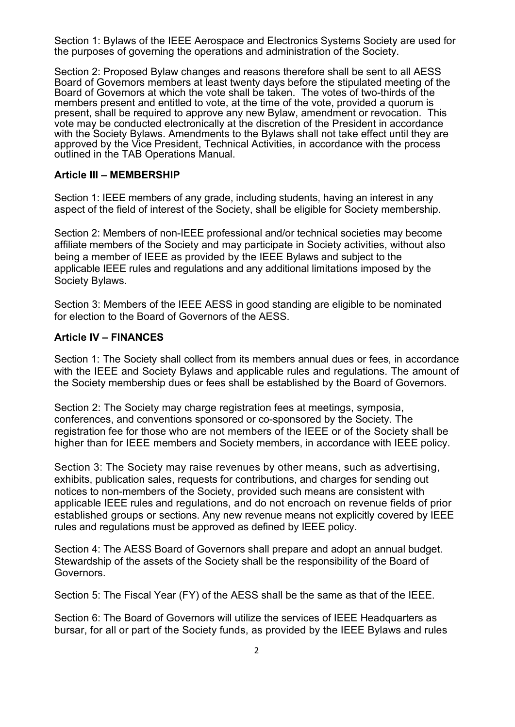Section 1: Bylaws of the IEEE Aerospace and Electronics Systems Society are used for the purposes of governing the operations and administration of the Society.

Section 2: Proposed Bylaw changes and reasons therefore shall be sent to all AESS Board of Governors members at least twenty days before the stipulated meeting of the Board of Governors at which the vote shall be taken. The votes of two-thirds of the members present and entitled to vote, at the time of the vote, provided a quorum is present, shall be required to approve any new Bylaw, amendment or revocation. This vote may be conducted electronically at the discretion of the President in accordance with the Society Bylaws. Amendments to the Bylaws shall not take effect until they are approved by the Vice President, Technical Activities, in accordance with the process outlined in the TAB Operations Manual.

#### **Article III – MEMBERSHIP**

Section 1: IEEE members of any grade, including students, having an interest in any aspect of the field of interest of the Society, shall be eligible for Society membership.

Section 2: Members of non-IEEE professional and/or technical societies may become affiliate members of the Society and may participate in Society activities, without also being a member of IEEE as provided by the IEEE Bylaws and subject to the applicable IEEE rules and regulations and any additional limitations imposed by the Society Bylaws.

Section 3: Members of the IEEE AESS in good standing are eligible to be nominated for election to the Board of Governors of the AESS.

### **Article IV – FINANCES**

Section 1: The Society shall collect from its members annual dues or fees, in accordance with the IEEE and Society Bylaws and applicable rules and regulations. The amount of the Society membership dues or fees shall be established by the Board of Governors.

Section 2: The Society may charge registration fees at meetings, symposia, conferences, and conventions sponsored or co-sponsored by the Society. The registration fee for those who are not members of the IEEE or of the Society shall be higher than for IEEE members and Society members, in accordance with IEEE policy.

Section 3: The Society may raise revenues by other means, such as advertising, exhibits, publication sales, requests for contributions, and charges for sending out notices to non-members of the Society, provided such means are consistent with applicable IEEE rules and regulations, and do not encroach on revenue fields of prior established groups or sections. Any new revenue means not explicitly covered by IEEE rules and regulations must be approved as defined by IEEE policy.

Section 4: The AESS Board of Governors shall prepare and adopt an annual budget. Stewardship of the assets of the Society shall be the responsibility of the Board of Governors.

Section 5: The Fiscal Year (FY) of the AESS shall be the same as that of the IEEE.

Section 6: The Board of Governors will utilize the services of IEEE Headquarters as bursar, for all or part of the Society funds, as provided by the IEEE Bylaws and rules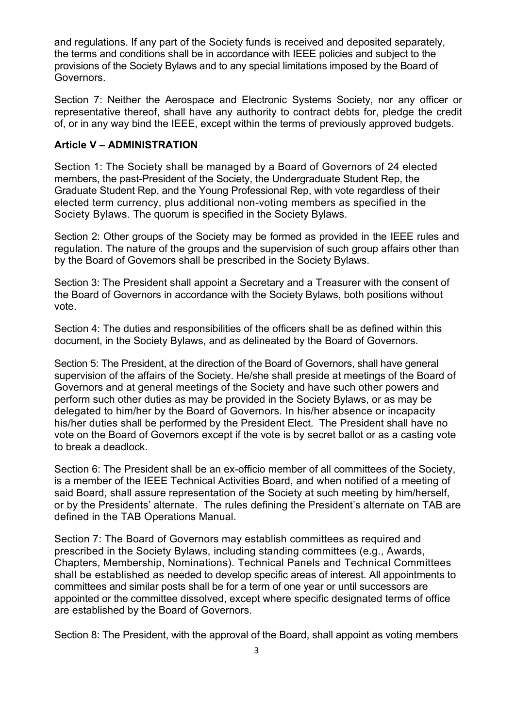and regulations. If any part of the Society funds is received and deposited separately, the terms and conditions shall be in accordance with IEEE policies and subject to the provisions of the Society Bylaws and to any special limitations imposed by the Board of Governors.

Section 7: Neither the Aerospace and Electronic Systems Society, nor any officer or representative thereof, shall have any authority to contract debts for, pledge the credit of, or in any way bind the IEEE, except within the terms of previously approved budgets.

### **Article V – ADMINISTRATION**

Section 1: The Society shall be managed by a Board of Governors of 24 elected members, the past-President of the Society, the Undergraduate Student Rep, the Graduate Student Rep, and the Young Professional Rep, with vote regardless of their elected term currency, plus additional non-voting members as specified in the Society Bylaws. The quorum is specified in the Society Bylaws.

Section 2: Other groups of the Society may be formed as provided in the IEEE rules and regulation. The nature of the groups and the supervision of such group affairs other than by the Board of Governors shall be prescribed in the Society Bylaws.

Section 3: The President shall appoint a Secretary and a Treasurer with the consent of the Board of Governors in accordance with the Society Bylaws, both positions without vote.

Section 4: The duties and responsibilities of the officers shall be as defined within this document, in the Society Bylaws, and as delineated by the Board of Governors.

Section 5: The President, at the direction of the Board of Governors, shall have general supervision of the affairs of the Society. He/she shall preside at meetings of the Board of Governors and at general meetings of the Society and have such other powers and perform such other duties as may be provided in the Society Bylaws, or as may be delegated to him/her by the Board of Governors. In his/her absence or incapacity his/her duties shall be performed by the President Elect. The President shall have no vote on the Board of Governors except if the vote is by secret ballot or as a casting vote to break a deadlock.

Section 6: The President shall be an ex-officio member of all committees of the Society, is a member of the IEEE Technical Activities Board, and when notified of a meeting of said Board, shall assure representation of the Society at such meeting by him/herself, or by the Presidents' alternate. The rules defining the President's alternate on TAB are defined in the TAB Operations Manual.

Section 7: The Board of Governors may establish committees as required and prescribed in the Society Bylaws, including standing committees (e.g., Awards, Chapters, Membership, Nominations). Technical Panels and Technical Committees shall be established as needed to develop specific areas of interest. All appointments to committees and similar posts shall be for a term of one year or until successors are appointed or the committee dissolved, except where specific designated terms of office are established by the Board of Governors.

Section 8: The President, with the approval of the Board, shall appoint as voting members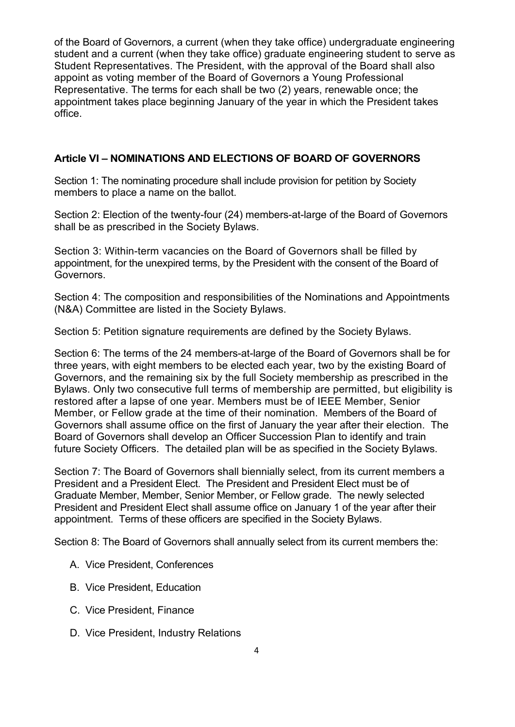of the Board of Governors, a current (when they take office) undergraduate engineering student and a current (when they take office) graduate engineering student to serve as Student Representatives. The President, with the approval of the Board shall also appoint as voting member of the Board of Governors a Young Professional Representative. The terms for each shall be two (2) years, renewable once; the appointment takes place beginning January of the year in which the President takes office.

### **Article VI – NOMINATIONS AND ELECTIONS OF BOARD OF GOVERNORS**

Section 1: The nominating procedure shall include provision for petition by Society members to place a name on the ballot.

Section 2: Election of the twenty-four (24) members-at-large of the Board of Governors shall be as prescribed in the Society Bylaws.

Section 3: Within-term vacancies on the Board of Governors shall be filled by appointment, for the unexpired terms, by the President with the consent of the Board of Governors.

Section 4: The composition and responsibilities of the Nominations and Appointments (N&A) Committee are listed in the Society Bylaws.

Section 5: Petition signature requirements are defined by the Society Bylaws.

Section 6: The terms of the 24 members-at-large of the Board of Governors shall be for three years, with eight members to be elected each year, two by the existing Board of Governors, and the remaining six by the full Society membership as prescribed in the Bylaws. Only two consecutive full terms of membership are permitted, but eligibility is restored after a lapse of one year. Members must be of IEEE Member, Senior Member, or Fellow grade at the time of their nomination. Members of the Board of Governors shall assume office on the first of January the year after their election. The Board of Governors shall develop an Officer Succession Plan to identify and train future Society Officers. The detailed plan will be as specified in the Society Bylaws.

Section 7: The Board of Governors shall biennially select, from its current members a President and a President Elect. The President and President Elect must be of Graduate Member, Member, Senior Member, or Fellow grade. The newly selected President and President Elect shall assume office on January 1 of the year after their appointment. Terms of these officers are specified in the Society Bylaws.

Section 8: The Board of Governors shall annually select from its current members the:

- A. Vice President, Conferences
- B. Vice President, Education
- C. Vice President, Finance
- D. Vice President, Industry Relations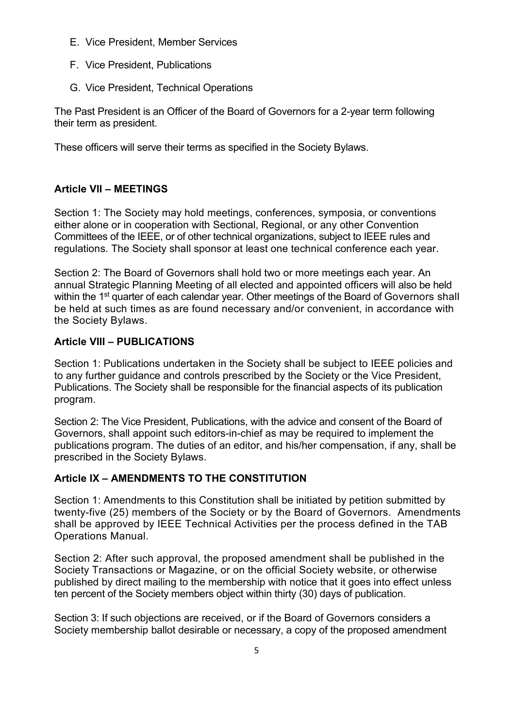- E. Vice President, Member Services
- F. Vice President, Publications
- G. Vice President, Technical Operations

The Past President is an Officer of the Board of Governors for a 2-year term following their term as president.

These officers will serve their terms as specified in the Society Bylaws.

# **Article VII – MEETINGS**

Section 1: The Society may hold meetings, conferences, symposia, or conventions either alone or in cooperation with Sectional, Regional, or any other Convention Committees of the IEEE, or of other technical organizations, subject to IEEE rules and regulations. The Society shall sponsor at least one technical conference each year.

Section 2: The Board of Governors shall hold two or more meetings each year. An annual Strategic Planning Meeting of all elected and appointed officers will also be held within the 1<sup>st</sup> quarter of each calendar year. Other meetings of the Board of Governors shall be held at such times as are found necessary and/or convenient, in accordance with the Society Bylaws.

# **Article VIII – PUBLICATIONS**

Section 1: Publications undertaken in the Society shall be subject to IEEE policies and to any further guidance and controls prescribed by the Society or the Vice President, Publications. The Society shall be responsible for the financial aspects of its publication program.

Section 2: The Vice President, Publications, with the advice and consent of the Board of Governors, shall appoint such editors-in-chief as may be required to implement the publications program. The duties of an editor, and his/her compensation, if any, shall be prescribed in the Society Bylaws.

# **Article IX – AMENDMENTS TO THE CONSTITUTION**

Section 1: Amendments to this Constitution shall be initiated by petition submitted by twenty-five (25) members of the Society or by the Board of Governors. Amendments shall be approved by IEEE Technical Activities per the process defined in the TAB Operations Manual.

Section 2: After such approval, the proposed amendment shall be published in the Society Transactions or Magazine, or on the official Society website, or otherwise published by direct mailing to the membership with notice that it goes into effect unless ten percent of the Society members object within thirty (30) days of publication.

Section 3: If such objections are received, or if the Board of Governors considers a Society membership ballot desirable or necessary, a copy of the proposed amendment